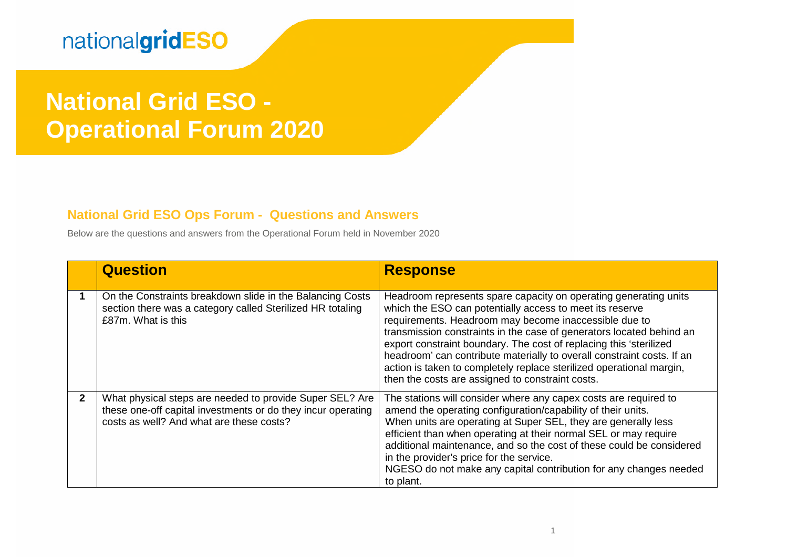# **National Grid ESO - Operational Forum 2020**

#### **National Grid ESO Ops Forum - Questions and Answers**

Below are the questions and answers from the Operational Forum held in November 2020

|              | <b>Question</b>                                                                                                                                                      | <b>Response</b>                                                                                                                                                                                                                                                                                                                                                                                                                                                                                                                           |
|--------------|----------------------------------------------------------------------------------------------------------------------------------------------------------------------|-------------------------------------------------------------------------------------------------------------------------------------------------------------------------------------------------------------------------------------------------------------------------------------------------------------------------------------------------------------------------------------------------------------------------------------------------------------------------------------------------------------------------------------------|
| 1            | On the Constraints breakdown slide in the Balancing Costs<br>section there was a category called Sterilized HR totaling<br>£87m. What is this                        | Headroom represents spare capacity on operating generating units<br>which the ESO can potentially access to meet its reserve<br>requirements. Headroom may become inaccessible due to<br>transmission constraints in the case of generators located behind an<br>export constraint boundary. The cost of replacing this 'sterilized<br>headroom' can contribute materially to overall constraint costs. If an<br>action is taken to completely replace sterilized operational margin,<br>then the costs are assigned to constraint costs. |
| $\mathbf{2}$ | What physical steps are needed to provide Super SEL? Are<br>these one-off capital investments or do they incur operating<br>costs as well? And what are these costs? | The stations will consider where any capex costs are required to<br>amend the operating configuration/capability of their units.<br>When units are operating at Super SEL, they are generally less<br>efficient than when operating at their normal SEL or may require<br>additional maintenance, and so the cost of these could be considered<br>in the provider's price for the service.<br>NGESO do not make any capital contribution for any changes needed<br>to plant.                                                              |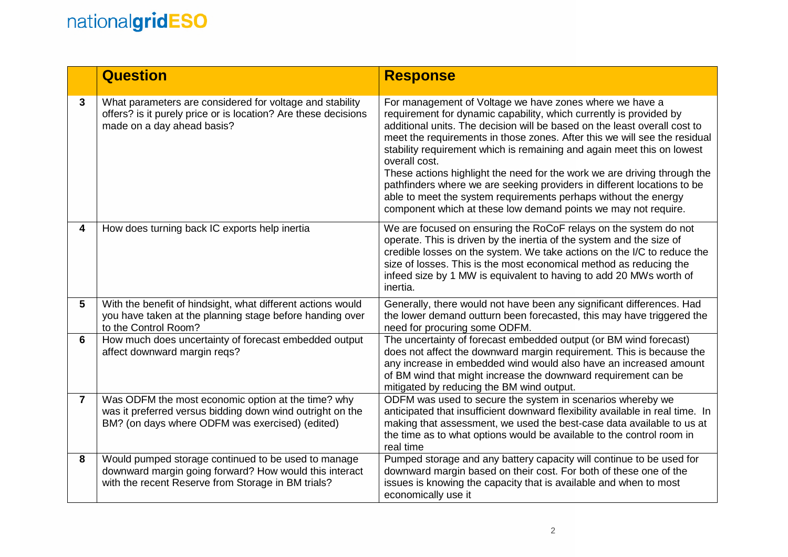|                 | <b>Question</b>                                                                                                                                                     | <b>Response</b>                                                                                                                                                                                                                                                                                                                                                                                                                                                                                                                                                                                                                                                                |
|-----------------|---------------------------------------------------------------------------------------------------------------------------------------------------------------------|--------------------------------------------------------------------------------------------------------------------------------------------------------------------------------------------------------------------------------------------------------------------------------------------------------------------------------------------------------------------------------------------------------------------------------------------------------------------------------------------------------------------------------------------------------------------------------------------------------------------------------------------------------------------------------|
| $\mathbf{3}$    | What parameters are considered for voltage and stability<br>offers? is it purely price or is location? Are these decisions<br>made on a day ahead basis?            | For management of Voltage we have zones where we have a<br>requirement for dynamic capability, which currently is provided by<br>additional units. The decision will be based on the least overall cost to<br>meet the requirements in those zones. After this we will see the residual<br>stability requirement which is remaining and again meet this on lowest<br>overall cost.<br>These actions highlight the need for the work we are driving through the<br>pathfinders where we are seeking providers in different locations to be<br>able to meet the system requirements perhaps without the energy<br>component which at these low demand points we may not require. |
| 4               | How does turning back IC exports help inertia                                                                                                                       | We are focused on ensuring the RoCoF relays on the system do not<br>operate. This is driven by the inertia of the system and the size of<br>credible losses on the system. We take actions on the I/C to reduce the<br>size of losses. This is the most economical method as reducing the<br>infeed size by 1 MW is equivalent to having to add 20 MWs worth of<br>inertia.                                                                                                                                                                                                                                                                                                    |
| $5\phantom{.0}$ | With the benefit of hindsight, what different actions would<br>you have taken at the planning stage before handing over<br>to the Control Room?                     | Generally, there would not have been any significant differences. Had<br>the lower demand outturn been forecasted, this may have triggered the<br>need for procuring some ODFM.                                                                                                                                                                                                                                                                                                                                                                                                                                                                                                |
| 6               | How much does uncertainty of forecast embedded output<br>affect downward margin reqs?                                                                               | The uncertainty of forecast embedded output (or BM wind forecast)<br>does not affect the downward margin requirement. This is because the<br>any increase in embedded wind would also have an increased amount<br>of BM wind that might increase the downward requirement can be<br>mitigated by reducing the BM wind output.                                                                                                                                                                                                                                                                                                                                                  |
| $\overline{7}$  | Was ODFM the most economic option at the time? why<br>was it preferred versus bidding down wind outright on the<br>BM? (on days where ODFM was exercised) (edited)  | ODFM was used to secure the system in scenarios whereby we<br>anticipated that insufficient downward flexibility available in real time. In<br>making that assessment, we used the best-case data available to us at<br>the time as to what options would be available to the control room in<br>real time                                                                                                                                                                                                                                                                                                                                                                     |
| 8               | Would pumped storage continued to be used to manage<br>downward margin going forward? How would this interact<br>with the recent Reserve from Storage in BM trials? | Pumped storage and any battery capacity will continue to be used for<br>downward margin based on their cost. For both of these one of the<br>issues is knowing the capacity that is available and when to most<br>economically use it                                                                                                                                                                                                                                                                                                                                                                                                                                          |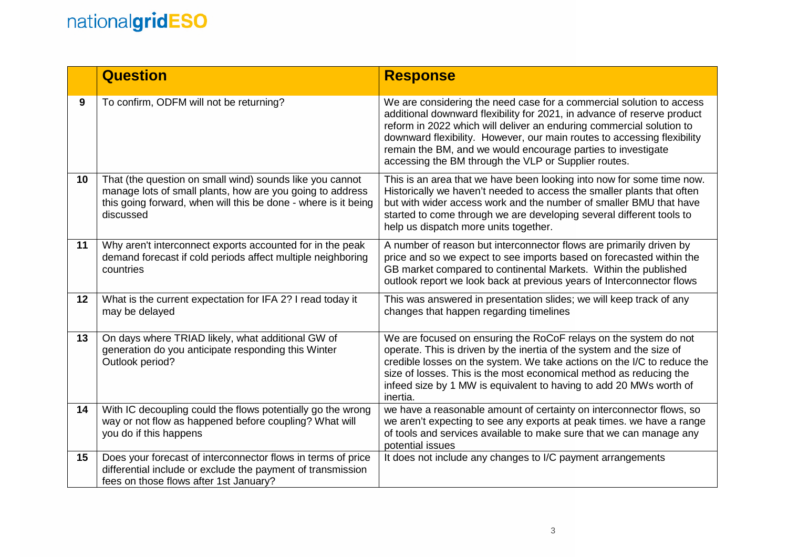|    | <b>Question</b>                                                                                                                                                                                      | <b>Response</b>                                                                                                                                                                                                                                                                                                                                                                                                            |
|----|------------------------------------------------------------------------------------------------------------------------------------------------------------------------------------------------------|----------------------------------------------------------------------------------------------------------------------------------------------------------------------------------------------------------------------------------------------------------------------------------------------------------------------------------------------------------------------------------------------------------------------------|
| 9  | To confirm, ODFM will not be returning?                                                                                                                                                              | We are considering the need case for a commercial solution to access<br>additional downward flexibility for 2021, in advance of reserve product<br>reform in 2022 which will deliver an enduring commercial solution to<br>downward flexibility. However, our main routes to accessing flexibility<br>remain the BM, and we would encourage parties to investigate<br>accessing the BM through the VLP or Supplier routes. |
| 10 | That (the question on small wind) sounds like you cannot<br>manage lots of small plants, how are you going to address<br>this going forward, when will this be done - where is it being<br>discussed | This is an area that we have been looking into now for some time now.<br>Historically we haven't needed to access the smaller plants that often<br>but with wider access work and the number of smaller BMU that have<br>started to come through we are developing several different tools to<br>help us dispatch more units together.                                                                                     |
| 11 | Why aren't interconnect exports accounted for in the peak<br>demand forecast if cold periods affect multiple neighboring<br>countries                                                                | A number of reason but interconnector flows are primarily driven by<br>price and so we expect to see imports based on forecasted within the<br>GB market compared to continental Markets. Within the published<br>outlook report we look back at previous years of Interconnector flows                                                                                                                                    |
| 12 | What is the current expectation for IFA 2? I read today it<br>may be delayed                                                                                                                         | This was answered in presentation slides; we will keep track of any<br>changes that happen regarding timelines                                                                                                                                                                                                                                                                                                             |
| 13 | On days where TRIAD likely, what additional GW of<br>generation do you anticipate responding this Winter<br>Outlook period?                                                                          | We are focused on ensuring the RoCoF relays on the system do not<br>operate. This is driven by the inertia of the system and the size of<br>credible losses on the system. We take actions on the I/C to reduce the<br>size of losses. This is the most economical method as reducing the<br>infeed size by 1 MW is equivalent to having to add 20 MWs worth of<br>inertia.                                                |
| 14 | With IC decoupling could the flows potentially go the wrong<br>way or not flow as happened before coupling? What will<br>you do if this happens                                                      | we have a reasonable amount of certainty on interconnector flows, so<br>we aren't expecting to see any exports at peak times. we have a range<br>of tools and services available to make sure that we can manage any<br>potential issues                                                                                                                                                                                   |
| 15 | Does your forecast of interconnector flows in terms of price<br>differential include or exclude the payment of transmission<br>fees on those flows after 1st January?                                | It does not include any changes to I/C payment arrangements                                                                                                                                                                                                                                                                                                                                                                |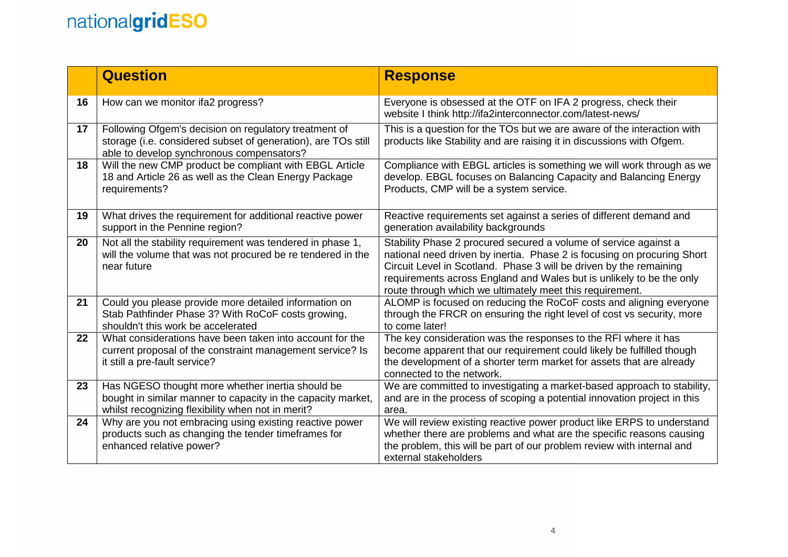|    | <b>Question</b>                                                                                                                                                       | <b>Response</b>                                                                                                                                                                                                                                                                                                                                       |
|----|-----------------------------------------------------------------------------------------------------------------------------------------------------------------------|-------------------------------------------------------------------------------------------------------------------------------------------------------------------------------------------------------------------------------------------------------------------------------------------------------------------------------------------------------|
| 16 | How can we monitor ifa2 progress?                                                                                                                                     | Everyone is obsessed at the OTF on IFA 2 progress, check their<br>website I think http://ifa2interconnector.com/latest-news/                                                                                                                                                                                                                          |
| 17 | Following Ofgem's decision on regulatory treatment of<br>storage (i.e. considered subset of generation), are TOs still<br>able to develop synchronous compensators?   | This is a question for the TOs but we are aware of the interaction with<br>products like Stability and are raising it in discussions with Ofgem.                                                                                                                                                                                                      |
| 18 | Will the new CMP product be compliant with EBGL Article<br>18 and Article 26 as well as the Clean Energy Package<br>requirements?                                     | Compliance with EBGL articles is something we will work through as we<br>develop. EBGL focuses on Balancing Capacity and Balancing Energy<br>Products, CMP will be a system service.                                                                                                                                                                  |
| 19 | What drives the requirement for additional reactive power<br>support in the Pennine region?                                                                           | Reactive requirements set against a series of different demand and<br>generation availability backgrounds                                                                                                                                                                                                                                             |
| 20 | Not all the stability requirement was tendered in phase 1,<br>will the volume that was not procured be re tendered in the<br>near future                              | Stability Phase 2 procured secured a volume of service against a<br>national need driven by inertia. Phase 2 is focusing on procuring Short<br>Circuit Level in Scotland. Phase 3 will be driven by the remaining<br>requirements across England and Wales but is unlikely to be the only<br>route through which we ultimately meet this requirement. |
| 21 | Could you please provide more detailed information on<br>Stab Pathfinder Phase 3? With RoCoF costs growing,<br>shouldn't this work be accelerated                     | ALOMP is focused on reducing the RoCoF costs and aligning everyone<br>through the FRCR on ensuring the right level of cost vs security, more<br>to come later!                                                                                                                                                                                        |
| 22 | What considerations have been taken into account for the<br>current proposal of the constraint management service? Is<br>it still a pre-fault service?                | The key consideration was the responses to the RFI where it has<br>become apparent that our requirement could likely be fulfilled though<br>the development of a shorter term market for assets that are already<br>connected to the network.                                                                                                         |
| 23 | Has NGESO thought more whether inertia should be<br>bought in similar manner to capacity in the capacity market,<br>whilst recognizing flexibility when not in merit? | We are committed to investigating a market-based approach to stability,<br>and are in the process of scoping a potential innovation project in this<br>area.                                                                                                                                                                                          |
| 24 | Why are you not embracing using existing reactive power<br>products such as changing the tender timeframes for<br>enhanced relative power?                            | We will review existing reactive power product like ERPS to understand<br>whether there are problems and what are the specific reasons causing<br>the problem, this will be part of our problem review with internal and<br>external stakeholders                                                                                                     |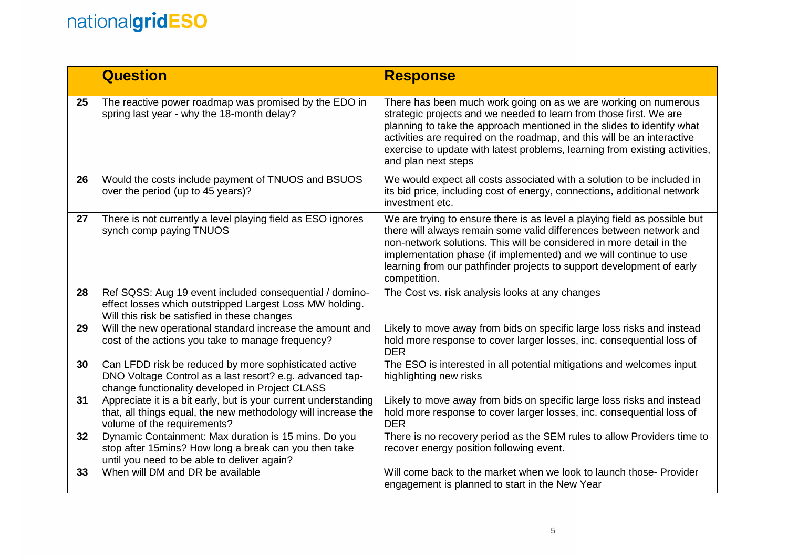|    | <b>Question</b>                                                                                                                                                      | <b>Response</b>                                                                                                                                                                                                                                                                                                                                                                                  |
|----|----------------------------------------------------------------------------------------------------------------------------------------------------------------------|--------------------------------------------------------------------------------------------------------------------------------------------------------------------------------------------------------------------------------------------------------------------------------------------------------------------------------------------------------------------------------------------------|
| 25 | The reactive power roadmap was promised by the EDO in<br>spring last year - why the 18-month delay?                                                                  | There has been much work going on as we are working on numerous<br>strategic projects and we needed to learn from those first. We are<br>planning to take the approach mentioned in the slides to identify what<br>activities are required on the roadmap, and this will be an interactive<br>exercise to update with latest problems, learning from existing activities,<br>and plan next steps |
| 26 | Would the costs include payment of TNUOS and BSUOS<br>over the period (up to 45 years)?                                                                              | We would expect all costs associated with a solution to be included in<br>its bid price, including cost of energy, connections, additional network<br>investment etc.                                                                                                                                                                                                                            |
| 27 | There is not currently a level playing field as ESO ignores<br>synch comp paying TNUOS                                                                               | We are trying to ensure there is as level a playing field as possible but<br>there will always remain some valid differences between network and<br>non-network solutions. This will be considered in more detail in the<br>implementation phase (if implemented) and we will continue to use<br>learning from our pathfinder projects to support development of early<br>competition.           |
| 28 | Ref SQSS: Aug 19 event included consequential / domino-<br>effect losses which outstripped Largest Loss MW holding.<br>Will this risk be satisfied in these changes  | The Cost vs. risk analysis looks at any changes                                                                                                                                                                                                                                                                                                                                                  |
| 29 | Will the new operational standard increase the amount and<br>cost of the actions you take to manage frequency?                                                       | Likely to move away from bids on specific large loss risks and instead<br>hold more response to cover larger losses, inc. consequential loss of<br><b>DER</b>                                                                                                                                                                                                                                    |
| 30 | Can LFDD risk be reduced by more sophisticated active<br>DNO Voltage Control as a last resort? e.g. advanced tap-<br>change functionality developed in Project CLASS | The ESO is interested in all potential mitigations and welcomes input<br>highlighting new risks                                                                                                                                                                                                                                                                                                  |
| 31 | Appreciate it is a bit early, but is your current understanding<br>that, all things equal, the new methodology will increase the<br>volume of the requirements?      | Likely to move away from bids on specific large loss risks and instead<br>hold more response to cover larger losses, inc. consequential loss of<br><b>DER</b>                                                                                                                                                                                                                                    |
| 32 | Dynamic Containment: Max duration is 15 mins. Do you<br>stop after 15mins? How long a break can you then take<br>until you need to be able to deliver again?         | There is no recovery period as the SEM rules to allow Providers time to<br>recover energy position following event.                                                                                                                                                                                                                                                                              |
| 33 | When will DM and DR be available                                                                                                                                     | Will come back to the market when we look to launch those- Provider<br>engagement is planned to start in the New Year                                                                                                                                                                                                                                                                            |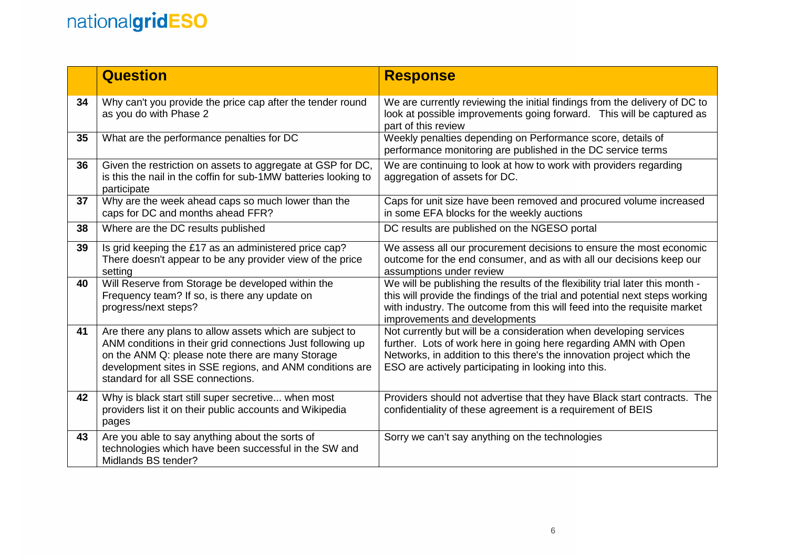|    | <b>Question</b>                                                                                                                                                                                                                                                             | <b>Response</b>                                                                                                                                                                                                                                                            |
|----|-----------------------------------------------------------------------------------------------------------------------------------------------------------------------------------------------------------------------------------------------------------------------------|----------------------------------------------------------------------------------------------------------------------------------------------------------------------------------------------------------------------------------------------------------------------------|
| 34 | Why can't you provide the price cap after the tender round<br>as you do with Phase 2                                                                                                                                                                                        | We are currently reviewing the initial findings from the delivery of DC to<br>look at possible improvements going forward. This will be captured as<br>part of this review                                                                                                 |
| 35 | What are the performance penalties for DC                                                                                                                                                                                                                                   | Weekly penalties depending on Performance score, details of<br>performance monitoring are published in the DC service terms                                                                                                                                                |
| 36 | Given the restriction on assets to aggregate at GSP for DC,<br>is this the nail in the coffin for sub-1MW batteries looking to<br>participate                                                                                                                               | We are continuing to look at how to work with providers regarding<br>aggregation of assets for DC.                                                                                                                                                                         |
| 37 | Why are the week ahead caps so much lower than the<br>caps for DC and months ahead FFR?                                                                                                                                                                                     | Caps for unit size have been removed and procured volume increased<br>in some EFA blocks for the weekly auctions                                                                                                                                                           |
| 38 | Where are the DC results published                                                                                                                                                                                                                                          | DC results are published on the NGESO portal                                                                                                                                                                                                                               |
| 39 | Is grid keeping the £17 as an administered price cap?<br>There doesn't appear to be any provider view of the price<br>setting                                                                                                                                               | We assess all our procurement decisions to ensure the most economic<br>outcome for the end consumer, and as with all our decisions keep our<br>assumptions under review                                                                                                    |
| 40 | Will Reserve from Storage be developed within the<br>Frequency team? If so, is there any update on<br>progress/next steps?                                                                                                                                                  | We will be publishing the results of the flexibility trial later this month -<br>this will provide the findings of the trial and potential next steps working<br>with industry. The outcome from this will feed into the requisite market<br>improvements and developments |
| 41 | Are there any plans to allow assets which are subject to<br>ANM conditions in their grid connections Just following up<br>on the ANM Q: please note there are many Storage<br>development sites in SSE regions, and ANM conditions are<br>standard for all SSE connections. | Not currently but will be a consideration when developing services<br>further. Lots of work here in going here regarding AMN with Open<br>Networks, in addition to this there's the innovation project which the<br>ESO are actively participating in looking into this.   |
| 42 | Why is black start still super secretive when most<br>providers list it on their public accounts and Wikipedia<br>pages                                                                                                                                                     | Providers should not advertise that they have Black start contracts. The<br>confidentiality of these agreement is a requirement of BEIS                                                                                                                                    |
| 43 | Are you able to say anything about the sorts of<br>technologies which have been successful in the SW and<br>Midlands BS tender?                                                                                                                                             | Sorry we can't say anything on the technologies                                                                                                                                                                                                                            |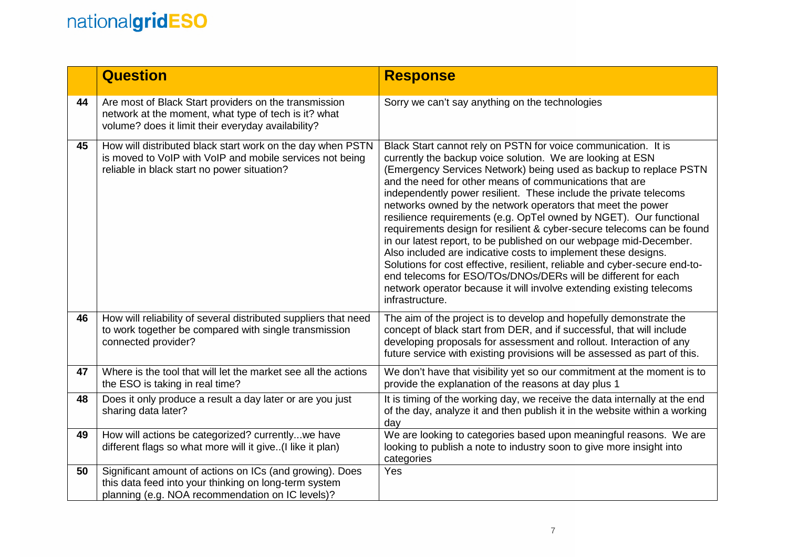|    | <b>Question</b>                                                                                                                                                       | <b>Response</b>                                                                                                                                                                                                                                                                                                                                                                                                                                                                                                                                                                                                                                                                                                                                                                                                                                                                                                                    |
|----|-----------------------------------------------------------------------------------------------------------------------------------------------------------------------|------------------------------------------------------------------------------------------------------------------------------------------------------------------------------------------------------------------------------------------------------------------------------------------------------------------------------------------------------------------------------------------------------------------------------------------------------------------------------------------------------------------------------------------------------------------------------------------------------------------------------------------------------------------------------------------------------------------------------------------------------------------------------------------------------------------------------------------------------------------------------------------------------------------------------------|
| 44 | Are most of Black Start providers on the transmission<br>network at the moment, what type of tech is it? what<br>volume? does it limit their everyday availability?   | Sorry we can't say anything on the technologies                                                                                                                                                                                                                                                                                                                                                                                                                                                                                                                                                                                                                                                                                                                                                                                                                                                                                    |
| 45 | How will distributed black start work on the day when PSTN<br>is moved to VoIP with VoIP and mobile services not being<br>reliable in black start no power situation? | Black Start cannot rely on PSTN for voice communication. It is<br>currently the backup voice solution. We are looking at ESN<br>(Emergency Services Network) being used as backup to replace PSTN<br>and the need for other means of communications that are<br>independently power resilient. These include the private telecoms<br>networks owned by the network operators that meet the power<br>resilience requirements (e.g. OpTel owned by NGET). Our functional<br>requirements design for resilient & cyber-secure telecoms can be found<br>in our latest report, to be published on our webpage mid-December.<br>Also included are indicative costs to implement these designs.<br>Solutions for cost effective, resilient, reliable and cyber-secure end-to-<br>end telecoms for ESO/TOs/DNOs/DERs will be different for each<br>network operator because it will involve extending existing telecoms<br>infrastructure. |
| 46 | How will reliability of several distributed suppliers that need<br>to work together be compared with single transmission<br>connected provider?                       | The aim of the project is to develop and hopefully demonstrate the<br>concept of black start from DER, and if successful, that will include<br>developing proposals for assessment and rollout. Interaction of any<br>future service with existing provisions will be assessed as part of this.                                                                                                                                                                                                                                                                                                                                                                                                                                                                                                                                                                                                                                    |
| 47 | Where is the tool that will let the market see all the actions<br>the ESO is taking in real time?                                                                     | We don't have that visibility yet so our commitment at the moment is to<br>provide the explanation of the reasons at day plus 1                                                                                                                                                                                                                                                                                                                                                                                                                                                                                                                                                                                                                                                                                                                                                                                                    |
| 48 | Does it only produce a result a day later or are you just<br>sharing data later?                                                                                      | It is timing of the working day, we receive the data internally at the end<br>of the day, analyze it and then publish it in the website within a working<br>day                                                                                                                                                                                                                                                                                                                                                                                                                                                                                                                                                                                                                                                                                                                                                                    |
| 49 | How will actions be categorized? currentlywe have<br>different flags so what more will it give. (I like it plan)                                                      | We are looking to categories based upon meaningful reasons. We are<br>looking to publish a note to industry soon to give more insight into<br>categories                                                                                                                                                                                                                                                                                                                                                                                                                                                                                                                                                                                                                                                                                                                                                                           |
| 50 | Significant amount of actions on ICs (and growing). Does<br>this data feed into your thinking on long-term system<br>planning (e.g. NOA recommendation on IC levels)? | Yes                                                                                                                                                                                                                                                                                                                                                                                                                                                                                                                                                                                                                                                                                                                                                                                                                                                                                                                                |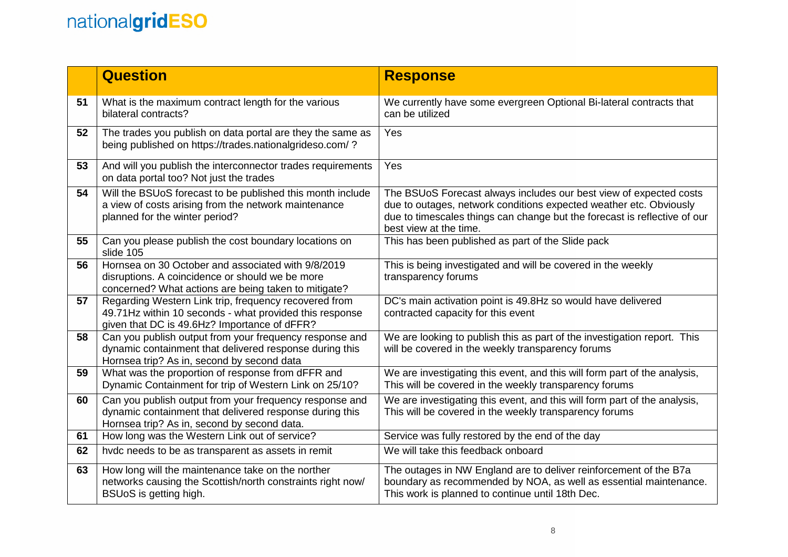|    | <b>Question</b>                                                                                                                                                   | <b>Response</b>                                                                                                                                                                                                                                 |
|----|-------------------------------------------------------------------------------------------------------------------------------------------------------------------|-------------------------------------------------------------------------------------------------------------------------------------------------------------------------------------------------------------------------------------------------|
| 51 | What is the maximum contract length for the various<br>bilateral contracts?                                                                                       | We currently have some evergreen Optional Bi-lateral contracts that<br>can be utilized                                                                                                                                                          |
| 52 | The trades you publish on data portal are they the same as<br>being published on https://trades.nationalgrideso.com/?                                             | Yes                                                                                                                                                                                                                                             |
| 53 | And will you publish the interconnector trades requirements<br>on data portal too? Not just the trades                                                            | Yes                                                                                                                                                                                                                                             |
| 54 | Will the BSUoS forecast to be published this month include<br>a view of costs arising from the network maintenance<br>planned for the winter period?              | The BSUoS Forecast always includes our best view of expected costs<br>due to outages, network conditions expected weather etc. Obviously<br>due to timescales things can change but the forecast is reflective of our<br>best view at the time. |
| 55 | Can you please publish the cost boundary locations on<br>slide 105                                                                                                | This has been published as part of the Slide pack                                                                                                                                                                                               |
| 56 | Hornsea on 30 October and associated with 9/8/2019<br>disruptions. A coincidence or should we be more<br>concerned? What actions are being taken to mitigate?     | This is being investigated and will be covered in the weekly<br>transparency forums                                                                                                                                                             |
| 57 | Regarding Western Link trip, frequency recovered from<br>49.71Hz within 10 seconds - what provided this response<br>given that DC is 49.6Hz? Importance of dFFR?  | DC's main activation point is 49.8Hz so would have delivered<br>contracted capacity for this event                                                                                                                                              |
| 58 | Can you publish output from your frequency response and<br>dynamic containment that delivered response during this<br>Hornsea trip? As in, second by second data  | We are looking to publish this as part of the investigation report. This<br>will be covered in the weekly transparency forums                                                                                                                   |
| 59 | What was the proportion of response from dFFR and<br>Dynamic Containment for trip of Western Link on 25/10?                                                       | We are investigating this event, and this will form part of the analysis,<br>This will be covered in the weekly transparency forums                                                                                                             |
| 60 | Can you publish output from your frequency response and<br>dynamic containment that delivered response during this<br>Hornsea trip? As in, second by second data. | We are investigating this event, and this will form part of the analysis,<br>This will be covered in the weekly transparency forums                                                                                                             |
| 61 | How long was the Western Link out of service?                                                                                                                     | Service was fully restored by the end of the day                                                                                                                                                                                                |
| 62 | hvdc needs to be as transparent as assets in remit                                                                                                                | We will take this feedback onboard                                                                                                                                                                                                              |
| 63 | How long will the maintenance take on the norther<br>networks causing the Scottish/north constraints right now/<br>BSUoS is getting high.                         | The outages in NW England are to deliver reinforcement of the B7a<br>boundary as recommended by NOA, as well as essential maintenance.<br>This work is planned to continue until 18th Dec.                                                      |